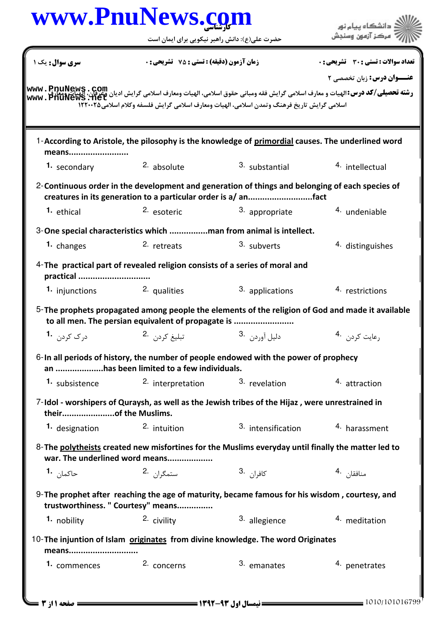## www.PnuNews.com المستخدم المستخدم المستخدم المستخدم المستخدم المستخدم المستخدم المستخدم المستخدم المستخدم المستخدم المستخدم ال<br>المستخدم المستخدم المستخدم المستخدم المستخدم المستخدم المستخدم المستخدم المستخدم المستخدم المستخدم المستخدم ال

| سری سوال : یک ۱                                                                                                                                                   | <b>زمان آزمون (دقیقه) : تستی : 75 ٪ تشریحی : 0</b>                                          |                          | تعداد سوالات : تستي : 30 ٪ تشريحي : 0 |  |  |
|-------------------------------------------------------------------------------------------------------------------------------------------------------------------|---------------------------------------------------------------------------------------------|--------------------------|---------------------------------------|--|--|
|                                                                                                                                                                   |                                                                                             |                          | <b>عنــوان درس:</b> زبان تخصصی ۲      |  |  |
| رشته تحصیلی/کد درس:الهیات و معارف اسلامی گرایش فقه ومبانی حقوق اسلامی، الهیات ومعارف اسلامی گرایش ادیان وعرفان، البیات وسل<br>WWW . PhuNews . Net                 |                                                                                             |                          |                                       |  |  |
|                                                                                                                                                                   | اسلامي گرايش تاريخ فرهنگ وتمدن اسلامي، الهيات ومعارف اسلامي گرايش فلسفه وكلام اسلامي1۲۲۰۰۲۵ |                          |                                       |  |  |
|                                                                                                                                                                   |                                                                                             |                          |                                       |  |  |
| 1-According to Aristole, the pilosophy is the knowledge of primordial causes. The underlined word<br>means                                                        |                                                                                             |                          |                                       |  |  |
| 1. secondary                                                                                                                                                      | <sup>2.</sup> absolute                                                                      | 3. substantial           | 4. intellectual                       |  |  |
| 2-Continuous order in the development and generation of things and belonging of each species of<br>creatures in its generation to a particular order is a/ anfact |                                                                                             |                          |                                       |  |  |
| <sup>1.</sup> ethical                                                                                                                                             | 2. esoteric                                                                                 | 3. appropriate           | 4. undeniable                         |  |  |
| 3-One special characteristics which man from animal is intellect.                                                                                                 |                                                                                             |                          |                                       |  |  |
| 1. changes                                                                                                                                                        | 2. retreats                                                                                 | 3. subverts              | 4. distinguishes                      |  |  |
| 4-The practical part of revealed religion consists of a series of moral and<br>practical                                                                          |                                                                                             |                          |                                       |  |  |
| 1. injunctions 2. qualities                                                                                                                                       |                                                                                             | 3. applications          | 4. restrictions                       |  |  |
| 5-The prophets propagated among people the elements of the religion of God and made it available<br>to all men. The persian equivalent of propagate is            |                                                                                             |                          |                                       |  |  |
| د, ک کردن <b>۱۰</b>                                                                                                                                               | تېليغ کړد <sub>ن</sub> 2.                                                                   | دليل آوردن <sup>.3</sup> | رعايت كردن 4.                         |  |  |
| 6-In all periods of history, the number of people endowed with the power of prophecy<br>an has been limited to a few individuals.                                 |                                                                                             |                          |                                       |  |  |
| 1. subsistence 2. interpretation                                                                                                                                  |                                                                                             | 3. revelation            | 4. attraction                         |  |  |
| 7-Idol - worshipers of Quraysh, as well as the Jewish tribes of the Hijaz, were unrestrained in<br>theirof the Muslims.                                           |                                                                                             |                          |                                       |  |  |
| 1. designation                                                                                                                                                    | 2. intuition                                                                                | 3. intensification       | 4. harassment                         |  |  |
| 8- The polytheists created new misfortines for the Muslims everyday until finally the matter led to<br>war. The underlined word means                             |                                                                                             |                          |                                       |  |  |
| حاكما <sub>ن</sub> 1.                                                                                                                                             | ستمگران 2.                                                                                  | كافرا <sub>ن</sub> .3    | منافقا <sub>ن</sub> .4                |  |  |
| 9- The prophet after reaching the age of maturity, became famous for his wisdom, courtesy, and<br>trustworthiness. " Courtesy" means                              |                                                                                             |                          |                                       |  |  |
| 1. nobility                                                                                                                                                       | 2. civility                                                                                 | 3. allegience            | 4. meditation                         |  |  |
| 10-The injuntion of Islam originates from divine knowledge. The word Originates<br>means                                                                          |                                                                                             |                          |                                       |  |  |
| <b>1.</b> commences                                                                                                                                               | 2. concerns                                                                                 | 3. emanates              | 4. penetrates                         |  |  |
|                                                                                                                                                                   |                                                                                             |                          |                                       |  |  |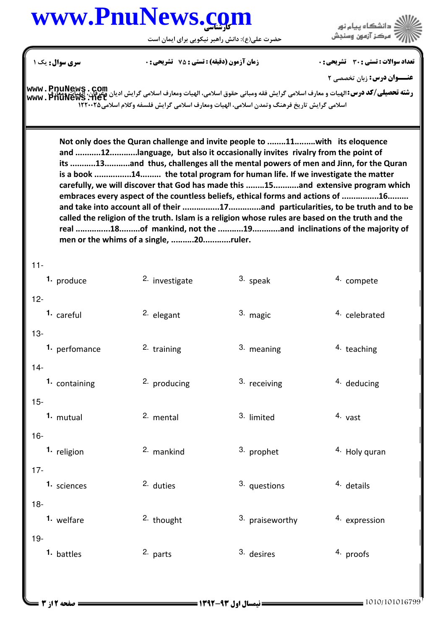## www.PnuNews.com

.<br>ڏ دانشڪاه پيا<mark>م نور</mark><br>\* مرڪز آزمون وسنجش

حضرت علی(ع): دانش راهبر نیکویی برای ایمان است **سری سوال :** یک ۱ **تعداد سوالات : تستی : 30 ٪ تشریحی : 0 زمان آزمون (دقیقه) : تستی : 75 ٪ تشریحی : 0 ۔وان درس:** زبان تخصصی ۲ **رشته تحصیلی/کد درس:**الهیات و معارف اسلامی گرایش فقه ومبانی حقوق اسلامی، الهیات ومعارف اسلامی گرایش ادیان و**عرفان. الزیبات www . PnuNews . Com**<br>www . PnuNews . net<br>۱۲۲۰۰۲۵ / ۱۳۸۰۲۵ اسلامی گرایش تاریخ فرهنگ وتمدن اسلامی، ا Not only does the Quran challenge and invite people to ........11.........with its eloquence and ...........12............language, but also it occasionally invites rivalry from the point of its ...........13...........and thus, challenges all the mental powers of men and Jinn, for the Quran is a book ................14......... the total program for human life. If we investigate the matter carefully, we will discover that God has made this ........15...........and extensive program which embraces every aspect of the countless beliefs, ethical forms and actions of ................16......... and take into account all of their .................17..............and particularities, to be truth and to be called the religion of the truth. Islam is a religion whose rules are based on the truth and the real ...............18.........of mankind, not the ...........19............and inclinations of the majority of men or the whims of a single, ..........20............ruler.  $11-$ 2. investigate 3. speak 1. produce 4. compete  $12 -$ 1. careful 2. elegant 3. magic 4. celebrated  $13-$ 3. meaning 1. perfomance 2. training 4. teaching  $14 -$ 2. producing 3. receiving 4. deducing 1. containing  $15 -$ 4. vast 2. mental 3. limited 1. mutual  $16-$ 2. mankind 3. prophet 4. Holy quran 1. religion  $17 -$ 2. duties 3. questions 4. details 1. sciences  $18 -$ 1. welfare 2. thought 3. praiseworthy 4. expression  $19-$ 1. battles 2. parts  $3.$  desires 4. proofs